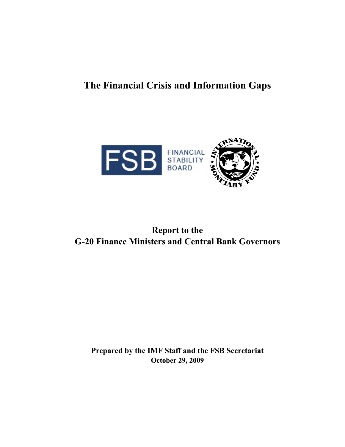# **The Financial Crisis and Information Gaps**



# **Report to the G-20 Finance Ministers and Central Bank Governors**

**Prepared by the IMF Staff and the FSB Secretariat October 29, 2009**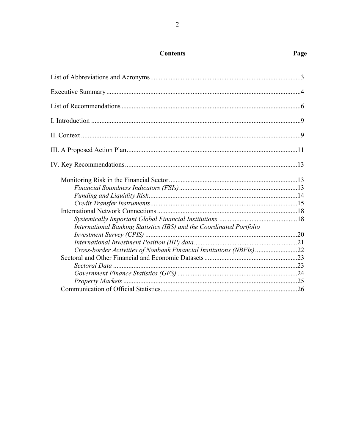| International Banking Statistics (IBS) and the Coordinated Portfolio |  |
|----------------------------------------------------------------------|--|
|                                                                      |  |
|                                                                      |  |
| Cross-border Activities of Nonbank Financial Institutions (NBFIs)22  |  |
|                                                                      |  |
|                                                                      |  |
|                                                                      |  |
|                                                                      |  |
|                                                                      |  |

# **Contents**

# Page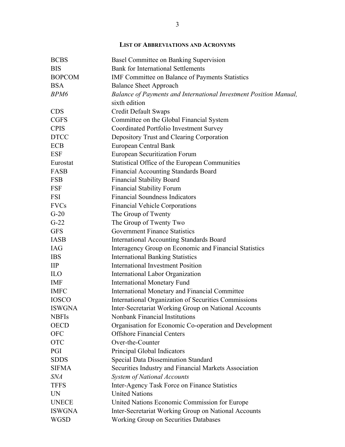<span id="page-2-0"></span>

| <b>BCBS</b>   | Basel Committee on Banking Supervision                            |
|---------------|-------------------------------------------------------------------|
| <b>BIS</b>    | <b>Bank for International Settlements</b>                         |
| <b>BOPCOM</b> | IMF Committee on Balance of Payments Statistics                   |
| <b>BSA</b>    | <b>Balance Sheet Approach</b>                                     |
| BPM6          | Balance of Payments and International Investment Position Manual, |
|               | sixth edition                                                     |
| <b>CDS</b>    | <b>Credit Default Swaps</b>                                       |
| <b>CGFS</b>   | Committee on the Global Financial System                          |
| <b>CPIS</b>   | Coordinated Portfolio Investment Survey                           |
| <b>DTCC</b>   | Depository Trust and Clearing Corporation                         |
| <b>ECB</b>    | European Central Bank                                             |
| <b>ESF</b>    | <b>European Securitization Forum</b>                              |
| Eurostat      | Statistical Office of the European Communities                    |
| FASB          | <b>Financial Accounting Standards Board</b>                       |
| <b>FSB</b>    | <b>Financial Stability Board</b>                                  |
| <b>FSF</b>    | <b>Financial Stability Forum</b>                                  |
| FSI           | <b>Financial Soundness Indicators</b>                             |
| <b>FVCs</b>   | <b>Financial Vehicle Corporations</b>                             |
| $G-20$        | The Group of Twenty                                               |
| $G-22$        | The Group of Twenty Two                                           |
| <b>GFS</b>    | <b>Government Finance Statistics</b>                              |
| <b>IASB</b>   | <b>International Accounting Standards Board</b>                   |
| <b>IAG</b>    | Interagency Group on Economic and Financial Statistics            |
| <b>IBS</b>    | <b>International Banking Statistics</b>                           |
| $\mathbf{H}$  | <b>International Investment Position</b>                          |
| <b>ILO</b>    | International Labor Organization                                  |
| <b>IMF</b>    | <b>International Monetary Fund</b>                                |
| <b>IMFC</b>   | <b>International Monetary and Financial Committee</b>             |
| <b>IOSCO</b>  | International Organization of Securities Commissions              |
| <b>ISWGNA</b> | Inter-Secretariat Working Group on National Accounts              |
| <b>NBFIs</b>  | Nonbank Financial Institutions                                    |
| <b>OECD</b>   | Organisation for Economic Co-operation and Development            |
| <b>OFC</b>    | <b>Offshore Financial Centers</b>                                 |
| <b>OTC</b>    | Over-the-Counter                                                  |
| PGI           | Principal Global Indicators                                       |
| <b>SDDS</b>   | <b>Special Data Dissemination Standard</b>                        |
| <b>SIFMA</b>  | Securities Industry and Financial Markets Association             |
| <b>SNA</b>    | <b>System of National Accounts</b>                                |
| <b>TFFS</b>   | Inter-Agency Task Force on Finance Statistics                     |
| <b>UN</b>     | <b>United Nations</b>                                             |
| <b>UNECE</b>  | United Nations Economic Commission for Europe                     |
| <b>ISWGNA</b> | Inter-Secretariat Working Group on National Accounts              |
| <b>WGSD</b>   | <b>Working Group on Securities Databases</b>                      |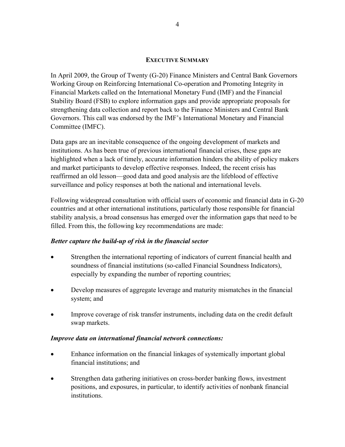#### **EXECUTIVE SUMMARY**

<span id="page-3-0"></span>In April 2009, the Group of Twenty (G-20) Finance Ministers and Central Bank Governors Working Group on Reinforcing International Co-operation and Promoting Integrity in Financial Markets called on the International Monetary Fund (IMF) and the Financial Stability Board (FSB) to explore information gaps and provide appropriate proposals for strengthening data collection and report back to the Finance Ministers and Central Bank Governors. This call was endorsed by the IMF's International Monetary and Financial Committee (IMFC).

Data gaps are an inevitable consequence of the ongoing development of markets and institutions. As has been true of previous international financial crises, these gaps are highlighted when a lack of timely, accurate information hinders the ability of policy makers and market participants to develop effective responses. Indeed, the recent crisis has reaffirmed an old lesson—good data and good analysis are the lifeblood of effective surveillance and policy responses at both the national and international levels.

Following widespread consultation with official users of economic and financial data in G-20 countries and at other international institutions, particularly those responsible for financial stability analysis, a broad consensus has emerged over the information gaps that need to be filled. From this, the following key recommendations are made:

# *Better capture the build-up of risk in the financial sector*

- Strengthen the international reporting of indicators of current financial health and soundness of financial institutions (so-called Financial Soundness Indicators), especially by expanding the number of reporting countries;
- Develop measures of aggregate leverage and maturity mismatches in the financial system; and
- Improve coverage of risk transfer instruments, including data on the credit default swap markets.

# *Improve data on international financial network connections:*

- Enhance information on the financial linkages of systemically important global financial institutions; and
- Strengthen data gathering initiatives on cross-border banking flows, investment positions, and exposures, in particular, to identify activities of nonbank financial institutions.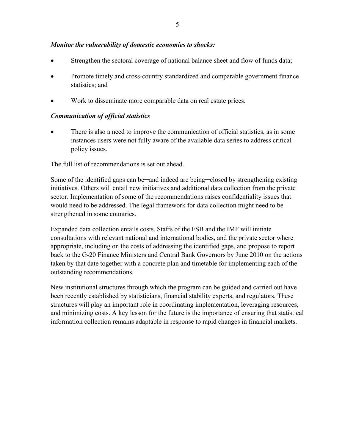#### *Monitor the vulnerability of domestic economies to shocks:*

- Strengthen the sectoral coverage of national balance sheet and flow of funds data;
- Promote timely and cross-country standardized and comparable government finance statistics; and
- Work to disseminate more comparable data on real estate prices.

#### *Communication of official statistics*

 There is also a need to improve the communication of official statistics, as in some instances users were not fully aware of the available data series to address critical policy issues.

The full list of recommendations is set out ahead.

Some of the identified gaps can be—and indeed are being—closed by strengthening existing initiatives. Others will entail new initiatives and additional data collection from the private sector. Implementation of some of the recommendations raises confidentiality issues that would need to be addressed. The legal framework for data collection might need to be strengthened in some countries.

Expanded data collection entails costs. Staffs of the FSB and the IMF will initiate consultations with relevant national and international bodies, and the private sector where appropriate, including on the costs of addressing the identified gaps, and propose to report back to the G-20 Finance Ministers and Central Bank Governors by June 2010 on the actions taken by that date together with a concrete plan and timetable for implementing each of the outstanding recommendations.

New institutional structures through which the program can be guided and carried out have been recently established by statisticians, financial stability experts, and regulators. These structures will play an important role in coordinating implementation, leveraging resources, and minimizing costs. A key lesson for the future is the importance of ensuring that statistical information collection remains adaptable in response to rapid changes in financial markets.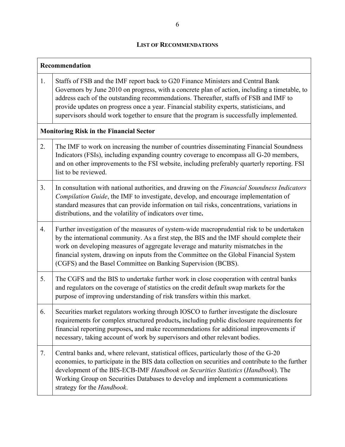# **LIST OF RECOMMENDATIONS**

<span id="page-5-0"></span>

| Recommendation                                 |                                                                                                                                                                                                                                                                                                                                                                                                                                                                   |  |  |  |
|------------------------------------------------|-------------------------------------------------------------------------------------------------------------------------------------------------------------------------------------------------------------------------------------------------------------------------------------------------------------------------------------------------------------------------------------------------------------------------------------------------------------------|--|--|--|
| 1.                                             | Staffs of FSB and the IMF report back to G20 Finance Ministers and Central Bank<br>Governors by June 2010 on progress, with a concrete plan of action, including a timetable, to<br>address each of the outstanding recommendations. Thereafter, staffs of FSB and IMF to<br>provide updates on progress once a year. Financial stability experts, statisticians, and<br>supervisors should work together to ensure that the program is successfully implemented. |  |  |  |
| <b>Monitoring Risk in the Financial Sector</b> |                                                                                                                                                                                                                                                                                                                                                                                                                                                                   |  |  |  |
| 2.                                             | The IMF to work on increasing the number of countries disseminating Financial Soundness<br>Indicators (FSIs), including expanding country coverage to encompass all G-20 members,<br>and on other improvements to the FSI website, including preferably quarterly reporting. FSI<br>list to be reviewed.                                                                                                                                                          |  |  |  |
| 3.                                             | In consultation with national authorities, and drawing on the Financial Soundness Indicators<br>Compilation Guide, the IMF to investigate, develop, and encourage implementation of<br>standard measures that can provide information on tail risks, concentrations, variations in<br>distributions, and the volatility of indicators over time.                                                                                                                  |  |  |  |
| 4.                                             | Further investigation of the measures of system-wide macroprudential risk to be undertaken<br>by the international community. As a first step, the BIS and the IMF should complete their<br>work on developing measures of aggregate leverage and maturity mismatches in the<br>financial system, drawing on inputs from the Committee on the Global Financial System<br>(CGFS) and the Basel Committee on Banking Supervision (BCBS).                            |  |  |  |
| 5.                                             | The CGFS and the BIS to undertake further work in close cooperation with central banks<br>and regulators on the coverage of statistics on the credit default swap markets for the<br>purpose of improving understanding of risk transfers within this market.                                                                                                                                                                                                     |  |  |  |
| 6.                                             | Securities market regulators working through IOSCO to further investigate the disclosure<br>requirements for complex structured products, including public disclosure requirements for<br>financial reporting purposes, and make recommendations for additional improvements if<br>necessary, taking account of work by supervisors and other relevant bodies.                                                                                                    |  |  |  |
| 7.                                             | Central banks and, where relevant, statistical offices, particularly those of the G-20<br>economies, to participate in the BIS data collection on securities and contribute to the further<br>development of the BIS-ECB-IMF Handbook on Securities Statistics (Handbook). The<br>Working Group on Securities Databases to develop and implement a communications<br>strategy for the Handbook.                                                                   |  |  |  |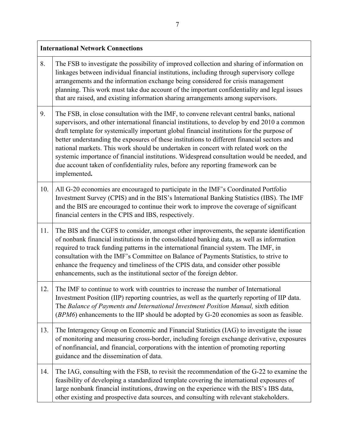| <b>International Network Connections</b> |                                                                                                                                                                                                                                                                                                                                                                                                                                                                                                                                                                                                                                                                                   |  |
|------------------------------------------|-----------------------------------------------------------------------------------------------------------------------------------------------------------------------------------------------------------------------------------------------------------------------------------------------------------------------------------------------------------------------------------------------------------------------------------------------------------------------------------------------------------------------------------------------------------------------------------------------------------------------------------------------------------------------------------|--|
| 8.                                       | The FSB to investigate the possibility of improved collection and sharing of information on<br>linkages between individual financial institutions, including through supervisory college<br>arrangements and the information exchange being considered for crisis management<br>planning. This work must take due account of the important confidentiality and legal issues<br>that are raised, and existing information sharing arrangements among supervisors.                                                                                                                                                                                                                  |  |
| 9.                                       | The FSB, in close consultation with the IMF, to convene relevant central banks, national<br>supervisors, and other international financial institutions, to develop by end 2010 a common<br>draft template for systemically important global financial institutions for the purpose of<br>better understanding the exposures of these institutions to different financial sectors and<br>national markets. This work should be undertaken in concert with related work on the<br>systemic importance of financial institutions. Widespread consultation would be needed, and<br>due account taken of confidentiality rules, before any reporting framework can be<br>implemented. |  |
| 10.                                      | All G-20 economies are encouraged to participate in the IMF's Coordinated Portfolio<br>Investment Survey (CPIS) and in the BIS's International Banking Statistics (IBS). The IMF<br>and the BIS are encouraged to continue their work to improve the coverage of significant<br>financial centers in the CPIS and IBS, respectively.                                                                                                                                                                                                                                                                                                                                              |  |
| 11.                                      | The BIS and the CGFS to consider, amongst other improvements, the separate identification<br>of nonbank financial institutions in the consolidated banking data, as well as information<br>required to track funding patterns in the international financial system. The IMF, in<br>consultation with the IMF's Committee on Balance of Payments Statistics, to strive to<br>enhance the frequency and timeliness of the CPIS data, and consider other possible<br>enhancements, such as the institutional sector of the foreign debtor.                                                                                                                                          |  |
| 12.                                      | The IMF to continue to work with countries to increase the number of International<br>Investment Position (IIP) reporting countries, as well as the quarterly reporting of IIP data.<br>The Balance of Payments and International Investment Position Manual, sixth edition<br>(BPM6) enhancements to the IIP should be adopted by G-20 economies as soon as feasible.                                                                                                                                                                                                                                                                                                            |  |
| 13.                                      | The Interagency Group on Economic and Financial Statistics (IAG) to investigate the issue<br>of monitoring and measuring cross-border, including foreign exchange derivative, exposures<br>of nonfinancial, and financial, corporations with the intention of promoting reporting<br>guidance and the dissemination of data.                                                                                                                                                                                                                                                                                                                                                      |  |
| 14.                                      | The IAG, consulting with the FSB, to revisit the recommendation of the G-22 to examine the<br>feasibility of developing a standardized template covering the international exposures of<br>large nonbank financial institutions, drawing on the experience with the BIS's IBS data,<br>other existing and prospective data sources, and consulting with relevant stakeholders.                                                                                                                                                                                                                                                                                                    |  |

٦

Г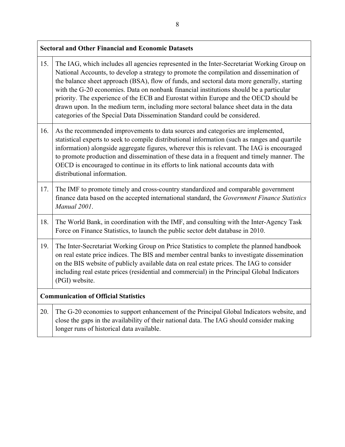| <b>Sectoral and Other Financial and Economic Datasets</b> |                                                                                                                                                                                                                                                                                                                                                                                                                                                                                                                                                                                                                                                  |  |
|-----------------------------------------------------------|--------------------------------------------------------------------------------------------------------------------------------------------------------------------------------------------------------------------------------------------------------------------------------------------------------------------------------------------------------------------------------------------------------------------------------------------------------------------------------------------------------------------------------------------------------------------------------------------------------------------------------------------------|--|
| 15.                                                       | The IAG, which includes all agencies represented in the Inter-Secretariat Working Group on<br>National Accounts, to develop a strategy to promote the compilation and dissemination of<br>the balance sheet approach (BSA), flow of funds, and sectoral data more generally, starting<br>with the G-20 economies. Data on nonbank financial institutions should be a particular<br>priority. The experience of the ECB and Eurostat within Europe and the OECD should be<br>drawn upon. In the medium term, including more sectoral balance sheet data in the data<br>categories of the Special Data Dissemination Standard could be considered. |  |
| 16.                                                       | As the recommended improvements to data sources and categories are implemented,<br>statistical experts to seek to compile distributional information (such as ranges and quartile<br>information) alongside aggregate figures, wherever this is relevant. The IAG is encouraged<br>to promote production and dissemination of these data in a frequent and timely manner. The<br>OECD is encouraged to continue in its efforts to link national accounts data with<br>distributional information.                                                                                                                                                |  |
| 17.                                                       | The IMF to promote timely and cross-country standardized and comparable government<br>finance data based on the accepted international standard, the Government Finance Statistics<br>Manual 2001.                                                                                                                                                                                                                                                                                                                                                                                                                                               |  |
| 18.                                                       | The World Bank, in coordination with the IMF, and consulting with the Inter-Agency Task<br>Force on Finance Statistics, to launch the public sector debt database in 2010.                                                                                                                                                                                                                                                                                                                                                                                                                                                                       |  |
| 19.                                                       | The Inter-Secretariat Working Group on Price Statistics to complete the planned handbook<br>on real estate price indices. The BIS and member central banks to investigate dissemination<br>on the BIS website of publicly available data on real estate prices. The IAG to consider<br>including real estate prices (residential and commercial) in the Principal Global Indicators<br>(PGI) website.                                                                                                                                                                                                                                            |  |
| <b>Communication of Official Statistics</b>               |                                                                                                                                                                                                                                                                                                                                                                                                                                                                                                                                                                                                                                                  |  |
| 20.                                                       | The G-20 economies to support enhancement of the Principal Global Indicators website, and<br>close the gaps in the availability of their national data. The IAG should consider making<br>longer runs of historical data available.                                                                                                                                                                                                                                                                                                                                                                                                              |  |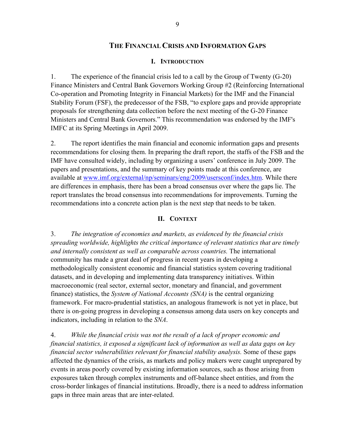# **THE FINANCIAL CRISIS AND INFORMATION GAPS**

#### **I. INTRODUCTION**

<span id="page-8-0"></span>1. The experience of the financial crisis led to a call by the Group of Twenty (G-20) Finance Ministers and Central Bank Governors Working Group #2 (Reinforcing International Co-operation and Promoting Integrity in Financial Markets) for the IMF and the Financial Stability Forum (FSF), the predecessor of the FSB, "to explore gaps and provide appropriate proposals for strengthening data collection before the next meeting of the G-20 Finance Ministers and Central Bank Governors." This recommendation was endorsed by the IMF's IMFC at its Spring Meetings in April 2009.

2. The report identifies the main financial and economic information gaps and presents recommendations for closing them. In preparing the draft report, the staffs of the FSB and the IMF have consulted widely, including by organizing a users' conference in July 2009. The papers and presentations, and the summary of key points made at this conference, are available at [www.imf.org/external/np/seminars/eng/2009/usersconf/index.htm.](http://www.imf.org/external/np/seminars/eng/2009/usersconf/index.htm) While there are differences in emphasis, there has been a broad consensus over where the gaps lie. The report translates the broad consensus into recommendations for improvements. Turning the recommendations into a concrete action plan is the next step that needs to be taken.

#### **II. CONTEXT**

<span id="page-8-1"></span>3. *The integration of economies and markets, as evidenced by the financial crisis spreading worldwide, highlights the critical importance of relevant statistics that are timely and internally consistent as well as comparable across countries.* The international community has made a great deal of progress in recent years in developing a methodologically consistent economic and financial statistics system covering traditional datasets, and in developing and implementing data transparency initiatives. Within macroeconomic (real sector, external sector, monetary and financial, and government finance) statistics, the *System of National Accounts (SNA)* is the central organizing framework. For macro-prudential statistics, an analogous framework is not yet in place, but there is on-going progress in developing a consensus among data users on key concepts and indicators, including in relation to the *SNA*.

4. *While the financial crisis was not the result of a lack of proper economic and financial statistics, it exposed a significant lack of information as well as data gaps on key financial sector vulnerabilities relevant for financial stability analysis.* Some of these gaps affected the dynamics of the crisis, as markets and policy makers were caught unprepared by events in areas poorly covered by existing information sources, such as those arising from exposures taken through complex instruments and off-balance sheet entities, and from the cross-border linkages of financial institutions. Broadly, there is a need to address information gaps in three main areas that are inter-related.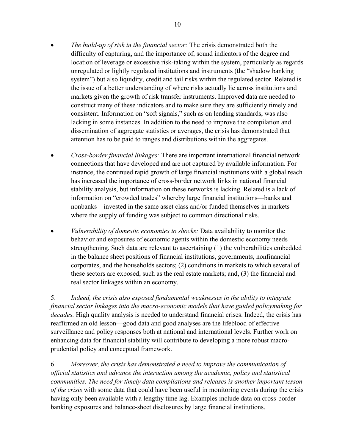- *The build-up of risk in the financial sector:* The crisis demonstrated both the difficulty of capturing, and the importance of, sound indicators of the degree and location of leverage or excessive risk-taking within the system, particularly as regards unregulated or lightly regulated institutions and instruments (the "shadow banking system") but also liquidity, credit and tail risks within the regulated sector. Related is the issue of a better understanding of where risks actually lie across institutions and markets given the growth of risk transfer instruments. Improved data are needed to construct many of these indicators and to make sure they are sufficiently timely and consistent. Information on "soft signals," such as on lending standards, was also lacking in some instances. In addition to the need to improve the compilation and dissemination of aggregate statistics or averages, the crisis has demonstrated that attention has to be paid to ranges and distributions within the aggregates.
- *Cross-border financial linkages:* There are important international financial network connections that have developed and are not captured by available information. For instance, the continued rapid growth of large financial institutions with a global reach has increased the importance of cross-border network links in national financial stability analysis, but information on these networks is lacking. Related is a lack of information on "crowded trades" whereby large financial institutions—banks and nonbanks—invested in the same asset class and/or funded themselves in markets where the supply of funding was subject to common directional risks.
- *Vulnerability of domestic economies to shocks:* Data availability to monitor the behavior and exposures of economic agents within the domestic economy needs strengthening. Such data are relevant to ascertaining (1) the vulnerabilities embedded in the balance sheet positions of financial institutions, governments, nonfinancial corporates, and the households sectors; (2) conditions in markets to which several of these sectors are exposed, such as the real estate markets; and, (3) the financial and real sector linkages within an economy.

5. *Indeed, the crisis also exposed fundamental weaknesses in the ability to integrate financial sector linkages into the macro-economic models that have guided policymaking for decades.* High quality analysis is needed to understand financial crises. Indeed, the crisis has reaffirmed an old lesson—good data and good analyses are the lifeblood of effective surveillance and policy responses both at national and international levels. Further work on enhancing data for financial stability will contribute to developing a more robust macroprudential policy and conceptual framework.

6. *Moreover, the crisis has demonstrated a need to improve the communication of official statistics and advance the interaction among the academic, policy and statistical communities. The need for timely data compilations and releases is another important lesson of the crisis* with some data that could have been useful in monitoring events during the crisis having only been available with a lengthy time lag. Examples include data on cross-border banking exposures and balance-sheet disclosures by large financial institutions.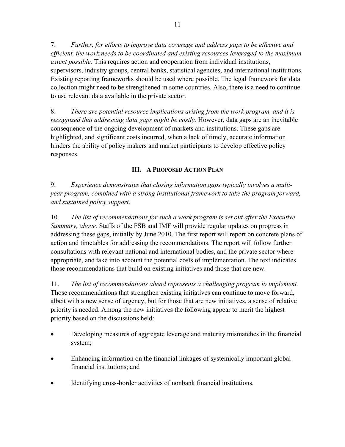7. *Further, for efforts to improve data coverage and address gaps to be effective and efficient, the work needs to be coordinated and existing resources leveraged to the maximum extent possible.* This requires action and cooperation from individual institutions, supervisors, industry groups, central banks, statistical agencies, and international institutions. Existing reporting frameworks should be used where possible. The legal framework for data collection might need to be strengthened in some countries. Also, there is a need to continue to use relevant data available in the private sector.

8. *There are potential resource implications arising from the work program, and it is recognized that addressing data gaps might be costly.* However, data gaps are an inevitable consequence of the ongoing development of markets and institutions. These gaps are highlighted, and significant costs incurred, when a lack of timely, accurate information hinders the ability of policy makers and market participants to develop effective policy responses.

# **III. A PROPOSED ACTION PLAN**

<span id="page-10-0"></span>9. *Experience demonstrates that closing information gaps typically involves a multiyear program, combined with a strong institutional framework to take the program forward, and sustained policy support*.

10. *The list of recommendations for such a work program is set out after the Executive Summary, above.* Staffs of the FSB and IMF will provide regular updates on progress in addressing these gaps, initially by June 2010. The first report will report on concrete plans of action and timetables for addressing the recommendations. The report will follow further consultations with relevant national and international bodies, and the private sector where appropriate, and take into account the potential costs of implementation. The text indicates those recommendations that build on existing initiatives and those that are new.

11. *The list of recommendations ahead represents a challenging program to implement.*  Those recommendations that strengthen existing initiatives can continue to move forward, albeit with a new sense of urgency, but for those that are new initiatives, a sense of relative priority is needed. Among the new initiatives the following appear to merit the highest priority based on the discussions held:

- Developing measures of aggregate leverage and maturity mismatches in the financial system;
- Enhancing information on the financial linkages of systemically important global financial institutions; and
- Identifying cross-border activities of nonbank financial institutions.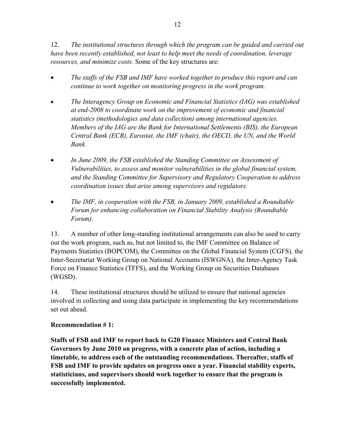12. *The institutional structures through which the program can be guided and carried out have been recently established, not least to help meet the needs of coordination, leverage resources, and minimize costs.* Some of the key structures are:

- *The staffs of the FSB and IMF have worked together to produce this report and can continue to work together on monitoring progress in the work program.*
- *The Interagency Group on Economic and Financial Statistics (IAG) was established at end-2008 to coordinate work on the improvement of economic and financial statistics (methodologies and data collection) among international agencies. Members of the IAG are the Bank for International Settlements (BIS), the European Central Bank (ECB), Eurostat, the IMF (chair), the OECD, the UN, and the World Bank.*
- *In June 2009, the FSB established the Standing Committee on Assessment of Vulnerabilities, to assess and monitor vulnerabilities in the global financial system, and the Standing Committee for Supervisory and Regulatory Cooperation to address coordination issues that arise among supervisors and regulators.*
- *The IMF, in cooperation with the FSB, in January 2009, established a Roundtable Forum for enhancing collaboration on Financial Stability Analysis (Roundtable Forum).*

13. A number of other long-standing institutional arrangements can also be used to carry out the work program, such as, but not limited to, the IMF Committee on Balance of Payments Statistics (BOPCOM), the Committee on the Global Financial System (CGFS)*,* the Inter-Secretariat Working Group on National Accounts (ISWGNA)*,* the Inter-Agency Task Force on Finance Statistics (TFFS), and the Working Group on Securities Databases (WGSD).

14. These institutional structures should be utilized to ensure that national agencies involved in collecting and using data participate in implementing the key recommendations set out ahead.

# **Recommendation # 1:**

**Staffs of FSB and IMF to report back to G20 Finance Ministers and Central Bank Governors by June 2010 on progress, with a concrete plan of action, including a timetable, to address each of the outstanding recommendations. Thereafter, staffs of FSB and IMF to provide updates on progress once a year. Financial stability experts, statisticians, and supervisors should work together to ensure that the program is successfully implemented.**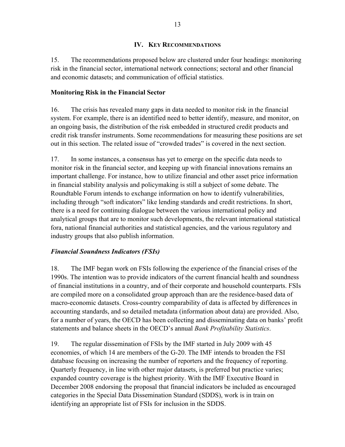#### **IV. KEY RECOMMENDATIONS**

<span id="page-12-0"></span>15. The recommendations proposed below are clustered under four headings: monitoring risk in the financial sector, international network connections; sectoral and other financial and economic datasets; and communication of official statistics.

#### <span id="page-12-1"></span>**Monitoring Risk in the Financial Sector**

16. The crisis has revealed many gaps in data needed to monitor risk in the financial system. For example, there is an identified need to better identify, measure, and monitor, on an ongoing basis, the distribution of the risk embedded in structured credit products and credit risk transfer instruments. Some recommendations for measuring these positions are set out in this section. The related issue of "crowded trades" is covered in the next section.

17. In some instances, a consensus has yet to emerge on the specific data needs to monitor risk in the financial sector, and keeping up with financial innovations remains an important challenge. For instance, how to utilize financial and other asset price information in financial stability analysis and policymaking is still a subject of some debate. The Roundtable Forum intends to exchange information on how to identify vulnerabilities, including through "soft indicators" like lending standards and credit restrictions. In short, there is a need for continuing dialogue between the various international policy and analytical groups that are to monitor such developments, the relevant international statistical fora, national financial authorities and statistical agencies, and the various regulatory and industry groups that also publish information.

# <span id="page-12-2"></span>*Financial Soundness Indicators (FSIs)*

18. The IMF began work on FSIs following the experience of the financial crises of the 1990s. The intention was to provide indicators of the current financial health and soundness of financial institutions in a country, and of their corporate and household counterparts. FSIs are compiled more on a consolidated group approach than are the residence-based data of macro-economic datasets. Cross-country comparability of data is affected by differences in accounting standards, and so detailed metadata (information about data) are provided. Also, for a number of years, the OECD has been collecting and disseminating data on banks' profit statements and balance sheets in the OECD's annual *Bank Profitability Statistics*.

19. The regular dissemination of FSIs by the IMF started in July 2009 with 45 economies, of which 14 are members of the G-20. The IMF intends to broaden the FSI database focusing on increasing the number of reporters and the frequency of reporting. Quarterly frequency, in line with other major datasets, is preferred but practice varies; expanded country coverage is the highest priority. With the IMF Executive Board in December 2008 endorsing the proposal that financial indicators be included as encouraged categories in the Special Data Dissemination Standard (SDDS), work is in train on identifying an appropriate list of FSIs for inclusion in the SDDS.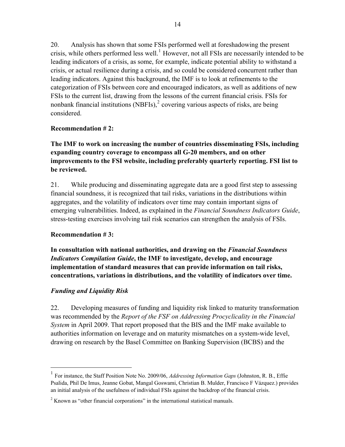20. Analysis has shown that some FSIs performed well at foreshadowing the present crisis, while others performed less well.<sup>[1](#page-13-1)</sup> However, not all FSIs are necessarily intended to be leading indicators of a crisis, as some, for example, indicate potential ability to withstand a crisis, or actual resilience during a crisis, and so could be considered concurrent rather than leading indicators. Against this background, the IMF is to look at refinements to the categorization of FSIs between core and encouraged indicators, as well as additions of new FSIs to the current list, drawing from the lessons of the current financial crisis. FSIs for nonbank financial institutions (NBFIs), $<sup>2</sup>$  $<sup>2</sup>$  $<sup>2</sup>$  covering various aspects of risks, are being</sup> considered.

# **Recommendation # 2:**

**The IMF to work on increasing the number of countries disseminating FSIs, including expanding country coverage to encompass all G-20 members, and on other improvements to the FSI website, including preferably quarterly reporting. FSI list to be reviewed.** 

21. While producing and disseminating aggregate data are a good first step to assessing financial soundness, it is recognized that tail risks, variations in the distributions within aggregates, and the volatility of indicators over time may contain important signs of emerging vulnerabilities. Indeed, as explained in the *Financial Soundness Indicators Guide*, stress-testing exercises involving tail risk scenarios can strengthen the analysis of FSIs.

# **Recommendation # 3:**

**In consultation with national authorities, and drawing on the** *Financial Soundness Indicators Compilation Guide***, the IMF to investigate, develop, and encourage implementation of standard measures that can provide information on tail risks, concentrations, variations in distributions, and the volatility of indicators over time.** 

# <span id="page-13-0"></span>*Funding and Liquidity Risk*

 $\overline{a}$ 

22. Developing measures of funding and liquidity risk linked to maturity transformation was recommended by the *Report of the FSF on Addressing Procyclicality in the Financial System* in April 2009. That report proposed that the BIS and the IMF make available to authorities information on leverage and on maturity mismatches on a system-wide level, drawing on research by the Basel Committee on Banking Supervision (BCBS) and the

<span id="page-13-1"></span><sup>1</sup> For instance, the Staff Position Note No. 2009/06, *Addressing Information Gaps* (Johnston, R. B., Effie Psalida, Phil De Imus, Jeanne Gobat, Mangal Goswami, Christian B. Mulder, Francisco F Vázquez.) provides an initial analysis of the usefulness of individual FSIs against the backdrop of the financial crisis.

<span id="page-13-2"></span> $2^2$  Known as "other financial corporations" in the international statistical manuals.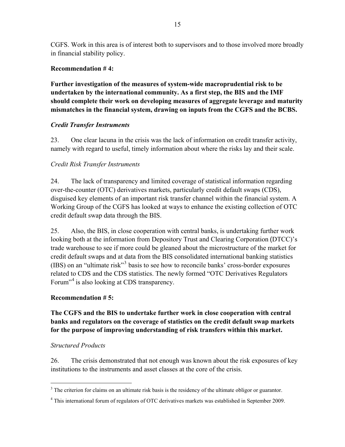CGFS. Work in this area is of interest both to supervisors and to those involved more broadly in financial stability policy.

# **Recommendation # 4:**

**Further investigation of the measures of system-wide macroprudential risk to be undertaken by the international community. As a first step, the BIS and the IMF should complete their work on developing measures of aggregate leverage and maturity mismatches in the financial system, drawing on inputs from the CGFS and the BCBS.** 

# <span id="page-14-0"></span>*Credit Transfer Instruments*

23. One clear lacuna in the crisis was the lack of information on credit transfer activity, namely with regard to useful, timely information about where the risks lay and their scale.

# *Credit Risk Transfer Instruments*

24. The lack of transparency and limited coverage of statistical information regarding over-the-counter (OTC) derivatives markets, particularly credit default swaps (CDS), disguised key elements of an important risk transfer channel within the financial system. A Working Group of the CGFS has looked at ways to enhance the existing collection of OTC credit default swap data through the BIS.

25. Also, the BIS, in close cooperation with central banks, is undertaking further work looking both at the information from Depository Trust and Clearing Corporation (DTCC)'s trade warehouse to see if more could be gleaned about the microstructure of the market for credit default swaps and at data from the BIS consolidated international banking statistics (IBS) on an "ultimate risk"<sup>[3](#page-14-1)</sup> basis to see how to reconcile banks' cross-border exposures related to CDS and the CDS statistics. The newly formed "OTC Derivatives Regulators Forum<sup>"[4](#page-14-2)</sup> is also looking at CDS transparency.

# **Recommendation # 5:**

# **The CGFS and the BIS to undertake further work in close cooperation with central banks and regulators on the coverage of statistics on the credit default swap markets for the purpose of improving understanding of risk transfers within this market.**

# *Structured Products*

 $\overline{a}$ 

26. The crisis demonstrated that not enough was known about the risk exposures of key institutions to the instruments and asset classes at the core of the crisis.

<span id="page-14-1"></span> $3$  The criterion for claims on an ultimate risk basis is the residency of the ultimate obligor or guarantor.

<span id="page-14-2"></span><sup>&</sup>lt;sup>4</sup> This international forum of regulators of OTC derivatives markets was established in September 2009.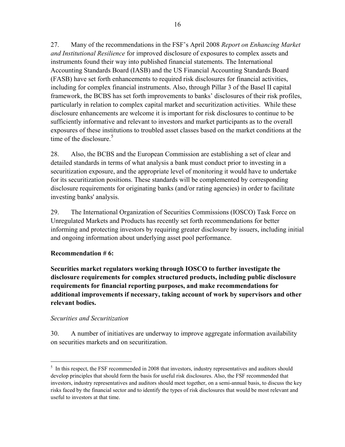27. Many of the recommendations in the FSF's April 2008 *Report on Enhancing Market and Institutional Resilience* for improved disclosure of exposures to complex assets and instruments found their way into published financial statements. The International Accounting Standards Board (IASB) and the US Financial Accounting Standards Board (FASB) have set forth enhancements to required risk disclosures for financial activities, including for complex financial instruments. Also, through Pillar 3 of the Basel II capital framework, the BCBS has set forth improvements to banks' disclosures of their risk profiles, particularly in relation to complex capital market and securitization activities. While these disclosure enhancements are welcome it is important for risk disclosures to continue to be sufficiently informative and relevant to investors and market participants as to the overall exposures of these institutions to troubled asset classes based on the market conditions at the time of the disclosure  $<sup>5</sup>$  $<sup>5</sup>$  $<sup>5</sup>$ </sup>

28. Also, the BCBS and the European Commission are establishing a set of clear and detailed standards in terms of what analysis a bank must conduct prior to investing in a securitization exposure, and the appropriate level of monitoring it would have to undertake for its securitization positions. These standards will be complemented by corresponding disclosure requirements for originating banks (and/or rating agencies) in order to facilitate investing banks' analysis.

29. The International Organization of Securities Commissions (IOSCO) Task Force on Unregulated Markets and Products has recently set forth recommendations for better informing and protecting investors by requiring greater disclosure by issuers, including initial and ongoing information about underlying asset pool performance.

# **Recommendation # 6:**

**Securities market regulators working through IOSCO to further investigate the disclosure requirements for complex structured products, including public disclosure requirements for financial reporting purposes, and make recommendations for additional improvements if necessary, taking account of work by supervisors and other relevant bodies.**

#### *Securities and Securitization*

 $\overline{a}$ 

30. A number of initiatives are underway to improve aggregate information availability on securities markets and on securitization.

<span id="page-15-0"></span><sup>&</sup>lt;sup>5</sup> In this respect, the FSF recommended in 2008 that investors, industry representatives and auditors should develop principles that should form the basis for useful risk disclosures. Also, the FSF recommended that investors, industry representatives and auditors should meet together, on a semi-annual basis, to discuss the key risks faced by the financial sector and to identify the types of risk disclosures that would be most relevant and useful to investors at that time.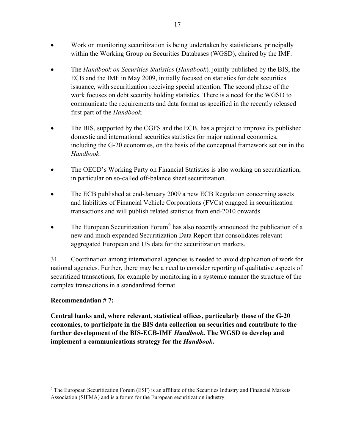- Work on monitoring securitization is being undertaken by statisticians, principally within the Working Group on Securities Databases (WGSD), chaired by the IMF.
- The *Handbook on Securities Statistics* (*Handbook*)*,* jointly published by the BIS, the ECB and the IMF in May 2009, initially focused on statistics for debt securities issuance, with securitization receiving special attention. The second phase of the work focuses on debt security holding statistics. There is a need for the WGSD to communicate the requirements and data format as specified in the recently released first part of the *Handbook.*
- The BIS, supported by the CGFS and the ECB, has a project to improve its published domestic and international securities statistics for major national economies, including the G-20 economies, on the basis of the conceptual framework set out in the *Handbook*.
- The OECD's Working Party on Financial Statistics is also working on securitization, in particular on so-called off-balance sheet securitization.
- The ECB published at end-January 2009 a new ECB Regulation concerning assets and liabilities of Financial Vehicle Corporations (FVCs) engaged in securitization transactions and will publish related statistics from end-2010 onwards.
- The European Securitization Forum<sup>[6](#page-16-0)</sup> has also recently announced the publication of a new and much expanded Securitization Data Report that consolidates relevant aggregated European and US data for the securitization markets.

31. Coordination among international agencies is needed to avoid duplication of work for national agencies. Further, there may be a need to consider reporting of qualitative aspects of securitized transactions, for example by monitoring in a systemic manner the structure of the complex transactions in a standardized format.

# **Recommendation # 7:**

 $\overline{a}$ 

**Central banks and, where relevant, statistical offices, particularly those of the G-20 economies, to participate in the BIS data collection on securities and contribute to the further development of the BIS-ECB-IMF** *Handbook***. The WGSD to develop and implement a communications strategy for the** *Handbook***.** 

<span id="page-16-0"></span><sup>&</sup>lt;sup>6</sup> The European Securitization Forum (ESF) is an affiliate of the Securities Industry and Financial Markets Association (SIFMA) and is a forum for the European securitization industry.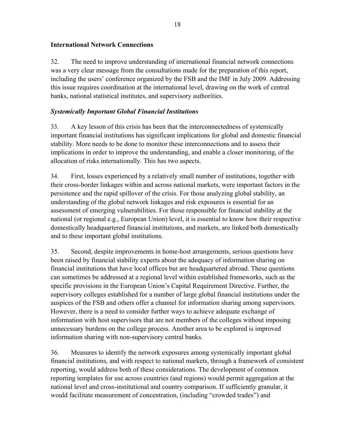# <span id="page-17-0"></span>**International Network Connections**

32. The need to improve understanding of international financial network connections was a very clear message from the consultations made for the preparation of this report, including the users' conference organized by the FSB and the IMF in July 2009. Addressing this issue requires coordination at the international level, drawing on the work of central banks, national statistical institutes, and supervisory authorities.

# <span id="page-17-1"></span>*Systemically Important Global Financial Institutions*

33. A key lesson of this crisis has been that the interconnectedness of systemically important financial institutions has significant implications for global and domestic financial stability. More needs to be done to monitor these interconnections and to assess their implications in order to improve the understanding, and enable a closer monitoring, of the allocation of risks internationally. This has two aspects.

34. First, losses experienced by a relatively small number of institutions, together with their cross-border linkages within and across national markets, were important factors in the persistence and the rapid spillover of the crisis. For those analyzing global stability, an understanding of the global network linkages and risk exposures is essential for an assessment of emerging vulnerabilities. For those responsible for financial stability at the national (or regional e.g., European Union) level, it is essential to know how their respective domestically headquartered financial institutions, and markets, are linked both domestically and to these important global institutions.

35. Second, despite improvements in home-host arrangements, serious questions have been raised by financial stability experts about the adequacy of information sharing on financial institutions that have local offices but are headquartered abroad. These questions can sometimes be addressed at a regional level within established frameworks, such as the specific provisions in the European Union's Capital Requirement Directive. Further, the supervisory colleges established for a number of large global financial institutions under the auspices of the FSB and others offer a channel for information sharing among supervisors. However, there is a need to consider further ways to achieve adequate exchange of information with host supervisors that are not members of the colleges without imposing unnecessary burdens on the college process. Another area to be explored is improved information sharing with non-supervisory central banks.

36. Measures to identify the network exposures among systemically important global financial institutions, and with respect to national markets, through a framework of consistent reporting, would address both of these considerations. The development of common reporting templates for use across countries (and regions) would permit aggregation at the national level and cross-institutional and country comparison. If sufficiently granular, it would facilitate measurement of concentration, (including "crowded trades") and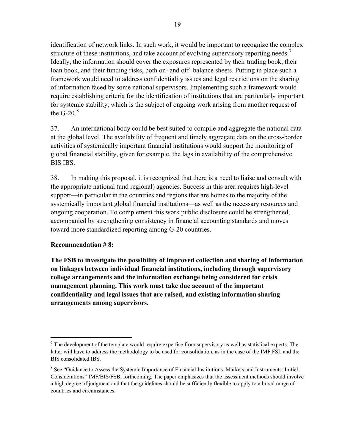identification of network links. In such work, it would be important to recognize the complex structure of these institutions, and take account of evolving supervisory reporting needs.<sup>7</sup> Ideally, the information should cover the exposures represented by their trading book, their loan book, and their funding risks, both on- and off- balance sheets. Putting in place such a framework would need to address confidentiality issues and legal restrictions on the sharing of information faced by some national supervisors. Implementing such a framework would require establishing criteria for the identification of institutions that are particularly important for systemic stability, which is the subject of ongoing work arising from another request of the G-20 $<sup>8</sup>$ </sup>

37. An international body could be best suited to compile and aggregate the national data at the global level. The availability of frequent and timely aggregate data on the cross-border activities of systemically important financial institutions would support the monitoring of global financial stability, given for example, the lags in availability of the comprehensive BIS IBS.

38. In making this proposal, it is recognized that there is a need to liaise and consult with the appropriate national (and regional) agencies. Success in this area requires high-level support—in particular in the countries and regions that are homes to the majority of the systemically important global financial institutions—as well as the necessary resources and ongoing cooperation. To complement this work public disclosure could be strengthened, accompanied by strengthening consistency in financial accounting standards and moves toward more standardized reporting among G-20 countries.

# **Recommendation # 8:**

<u>.</u>

**The FSB to investigate the possibility of improved collection and sharing of information on linkages between individual financial institutions, including through supervisory college arrangements and the information exchange being considered for crisis management planning. This work must take due account of the important confidentiality and legal issues that are raised, and existing information sharing arrangements among supervisors.** 

 $<sup>7</sup>$  The development of the template would require expertise from supervisory as well as statistical experts. The</sup> latter will have to address the methodology to be used for consolidation, as in the case of the IMF FSI, and the BIS consolidated IBS.

<sup>&</sup>lt;sup>8</sup> See "Guidance to Assess the Systemic Importance of Financial Institutions, Markets and Instruments: Initial Considerations" IMF/BIS/FSB, forthcoming. The paper emphasizes that the assessment methods should involve a high degree of judgment and that the guidelines should be sufficiently flexible to apply to a broad range of countries and circumstances.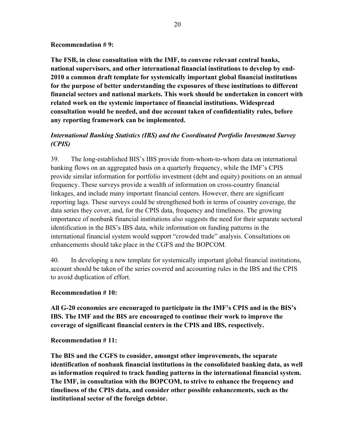#### **Recommendation # 9:**

**The FSB, in close consultation with the IMF, to convene relevant central banks, national supervisors, and other international financial institutions to develop by end-2010 a common draft template for systemically important global financial institutions for the purpose of better understanding the exposures of these institutions to different financial sectors and national markets. This work should be undertaken in concert with related work on the systemic importance of financial institutions. Widespread consultation would be needed, and due account taken of confidentiality rules, before any reporting framework can be implemented.** 

# <span id="page-19-0"></span>*International Banking Statistics (IBS) and the Coordinated Portfolio Investment Survey (CPIS)*

39. The long-established BIS's IBS provide from-whom-to-whom data on international banking flows on an aggregated basis on a quarterly frequency, while the IMF's CPIS provide similar information for portfolio investment (debt and equity) positions on an annual frequency. These surveys provide a wealth of information on cross-country financial linkages, and include many important financial centers. However, there are significant reporting lags. These surveys could be strengthened both in terms of country coverage, the data series they cover, and, for the CPIS data, frequency and timeliness. The growing importance of nonbank financial institutions also suggests the need for their separate sectoral identification in the BIS's IBS data, while information on funding patterns in the international financial system would support "crowded trade" analysis. Consultations on enhancements should take place in the CGFS and the BOPCOM.

40. In developing a new template for systemically important global financial institutions, account should be taken of the series covered and accounting rules in the IBS and the CPIS to avoid duplication of effort.

#### **Recommendation # 10:**

**All G-20 economies are encouraged to participate in the IMF's CPIS and in the BIS's IBS. The IMF and the BIS are encouraged to continue their work to improve the coverage of significant financial centers in the CPIS and IBS, respectively.** 

#### **Recommendation # 11:**

**The BIS and the CGFS to consider, amongst other improvements, the separate identification of nonbank financial institutions in the consolidated banking data, as well as information required to track funding patterns in the international financial system. The IMF, in consultation with the BOPCOM, to strive to enhance the frequency and timeliness of the CPIS data, and consider other possible enhancements, such as the institutional sector of the foreign debtor.**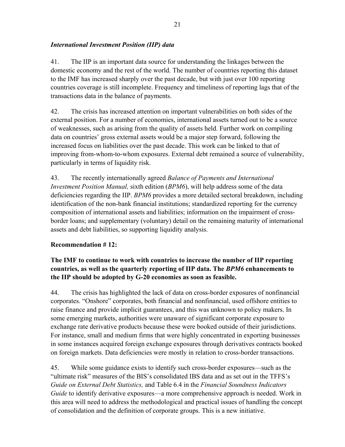# <span id="page-20-0"></span>*International Investment Position (IIP) data*

41. The IIP is an important data source for understanding the linkages between the domestic economy and the rest of the world. The number of countries reporting this dataset to the IMF has increased sharply over the past decade, but with just over 100 reporting countries coverage is still incomplete. Frequency and timeliness of reporting lags that of the transactions data in the balance of payments.

42. The crisis has increased attention on important vulnerabilities on both sides of the external position. For a number of economies, international assets turned out to be a source of weaknesses, such as arising from the quality of assets held. Further work on compiling data on countries' gross external assets would be a major step forward, following the increased focus on liabilities over the past decade. This work can be linked to that of improving from-whom-to-whom exposures. External debt remained a source of vulnerability, particularly in terms of liquidity risk.

43. The recently internationally agreed *Balance of Payments and International Investment Position Manual,* sixth edition (*BPM6*), will help address some of the data deficiencies regarding the IIP. *BPM6* provides a more detailed sectoral breakdown, including identification of the non-bank financial institutions; standardized reporting for the currency composition of international assets and liabilities; information on the impairment of crossborder loans; and supplementary (voluntary) detail on the remaining maturity of international assets and debt liabilities, so supporting liquidity analysis.

# **Recommendation # 12:**

# **The IMF to continue to work with countries to increase the number of IIP reporting countries, as well as the quarterly reporting of IIP data. The** *BPM6* **enhancements to the IIP should be adopted by G-20 economies as soon as feasible.**

44. The crisis has highlighted the lack of data on cross-border exposures of nonfinancial corporates. "Onshore" corporates, both financial and nonfinancial, used offshore entities to raise finance and provide implicit guarantees, and this was unknown to policy makers. In some emerging markets, authorities were unaware of significant corporate exposure to exchange rate derivative products because these were booked outside of their jurisdictions. For instance, small and medium firms that were highly concentrated in exporting businesses in some instances acquired foreign exchange exposures through derivatives contracts booked on foreign markets. Data deficiencies were mostly in relation to cross-border transactions.

45. While some guidance exists to identify such cross-border exposures—such as the "ultimate risk" measures of the BIS's consolidated IBS data and as set out in the TFFS's *Guide on External Debt Statistics,* and Table 6.4 in the *Financial Soundness Indicators Guide* to identify derivative exposures—a more comprehensive approach is needed. Work in this area will need to address the methodological and practical issues of handling the concept of consolidation and the definition of corporate groups. This is a new initiative.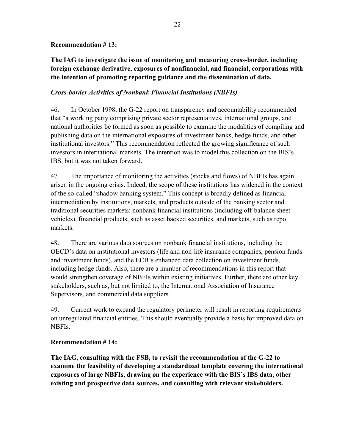#### **Recommendation # 13:**

# **The IAG to investigate the issue of monitoring and measuring cross-border, including foreign exchange derivative, exposures of nonfinancial, and financial, corporations with the intention of promoting reporting guidance and the dissemination of data.**

#### <span id="page-21-0"></span>*Cross-border Activities of Nonbank Financial Institutions (NBFIs)*

46. In October 1998, the G-22 report on transparency and accountability recommended that "a working party comprising private sector representatives, international groups, and national authorities be formed as soon as possible to examine the modalities of compiling and publishing data on the international exposures of investment banks, hedge funds, and other institutional investors." This recommendation reflected the growing significance of such investors in international markets. The intention was to model this collection on the BIS's IBS, but it was not taken forward.

47. The importance of monitoring the activities (stocks and flows) of NBFIs has again arisen in the ongoing crisis. Indeed, the scope of these institutions has widened in the context of the so-called "shadow banking system." This concept is broadly defined as financial intermediation by institutions, markets, and products outside of the banking sector and traditional securities markets: nonbank financial institutions (including off-balance sheet vehicles), financial products, such as asset backed securities, and markets, such as repo markets.

48. There are various data sources on nonbank financial institutions, including the OECD's data on institutional investors (life and non-life insurance companies, pension funds and investment funds), and the ECB's enhanced data collection on investment funds, including hedge funds. Also, there are a number of recommendations in this report that would strengthen coverage of NBFIs within existing initiatives. Further, there are other key stakeholders, such as, but not limited to, the International Association of Insurance Supervisors, and commercial data suppliers.

49. Current work to expand the regulatory perimeter will result in reporting requirements on unregulated financial entities. This should eventually provide a basis for improved data on NBFIs.

# **Recommendation # 14:**

**The IAG, consulting with the FSB, to revisit the recommendation of the G-22 to examine the feasibility of developing a standardized template covering the international exposures of large NBFIs, drawing on the experience with the BIS's IBS data, other existing and prospective data sources, and consulting with relevant stakeholders.**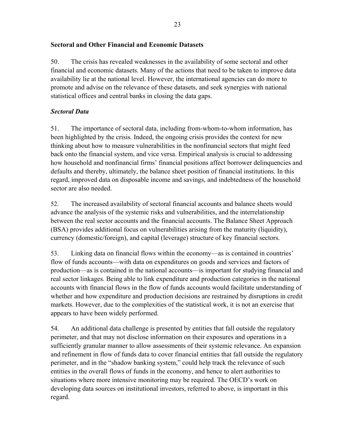# <span id="page-22-0"></span>**Sectoral and Other Financial and Economic Datasets**

50. The crisis has revealed weaknesses in the availability of some sectoral and other financial and economic datasets. Many of the actions that need to be taken to improve data availability lie at the national level. However, the international agencies can do more to promote and advise on the relevance of these datasets, and seek synergies with national statistical offices and central banks in closing the data gaps.

# <span id="page-22-1"></span>*Sectoral Data*

51. The importance of sectoral data, including from-whom-to-whom information, has been highlighted by the crisis. Indeed, the ongoing crisis provides the context for new thinking about how to measure vulnerabilities in the nonfinancial sectors that might feed back onto the financial system, and vice versa. Empirical analysis is crucial to addressing how household and nonfinancial firms' financial positions affect borrower delinquencies and defaults and thereby, ultimately, the balance sheet position of financial institutions. In this regard, improved data on disposable income and savings, and indebtedness of the household sector are also needed.

52. The increased availability of sectoral financial accounts and balance sheets would advance the analysis of the systemic risks and vulnerabilities, and the interrelationship between the real sector accounts and the financial accounts. The Balance Sheet Approach (BSA) provides additional focus on vulnerabilities arising from the maturity (liquidity), currency (domestic/foreign), and capital (leverage) structure of key financial sectors.

53. Linking data on financial flows within the economy—as is contained in countries' flow of funds accounts—with data on expenditures on goods and services and factors of production—as is contained in the national accounts—is important for studying financial and real sector linkages. Being able to link expenditure and production categories in the national accounts with financial flows in the flow of funds accounts would facilitate understanding of whether and how expenditure and production decisions are restrained by disruptions in credit markets. However, due to the complexities of the statistical work, it is not an exercise that appears to have been widely performed.

54. An additional data challenge is presented by entities that fall outside the regulatory perimeter, and that may not disclose information on their exposures and operations in a sufficiently granular manner to allow assessments of their systemic relevance. An expansion and refinement in flow of funds data to cover financial entities that fall outside the regulatory perimeter, and in the "shadow banking system," could help track the relevance of such entities in the overall flows of funds in the economy, and hence to alert authorities to situations where more intensive monitoring may be required. The OECD's work on developing data sources on institutional investors, referred to above, is important in this regard.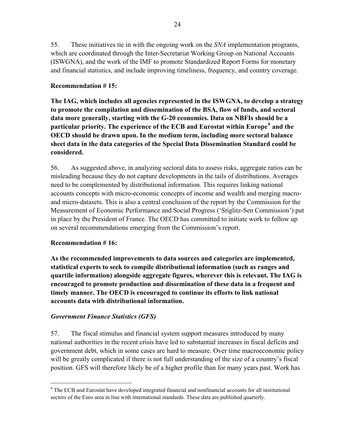55. These initiatives tie in with the ongoing work on the *SNA* implementation programs, which are coordinated through the Inter-Secretariat Working Group on National Accounts (ISWGNA), and the work of the IMF to promote Standardized Report Forms for monetary and financial statistics, and include improving timeliness, frequency, and country coverage.

# **Recommendation # 15:**

**The IAG, which includes all agencies represented in the ISWGNA, to develop a strategy to promote the compilation and dissemination of the BSA, flow of funds, and sectoral data more generally, starting with the G-20 economies. Data on NBFIs should be a particular priority. The experience of the ECB and Eurostat within Europe[9](#page-23-1) and the OECD should be drawn upon. In the medium term, including more sectoral balance sheet data in the data categories of the Special Data Dissemination Standard could be considered.** 

56. As suggested above, in analyzing sectoral data to assess risks, aggregate ratios can be misleading because they do not capture developments in the tails of distributions. Averages need to be complemented by distributional information. This requires linking national accounts concepts with micro-economic concepts of income and wealth and merging macroand micro-datasets. This is also a central conclusion of the report by the Commission for the Measurement of Economic Performance and Social Progress ('Stiglitz-Sen Commission') put in place by the President of France. The OECD has committed to initiate work to follow up on several recommendations emerging from the Commission's report.

# **Recommendation # 16:**

 $\overline{a}$ 

**As the recommended improvements to data sources and categories are implemented, statistical experts to seek to compile distributional information (such as ranges and quartile information) alongside aggregate figures, wherever this is relevant. The IAG is encouraged to promote production and dissemination of these data in a frequent and timely manner. The OECD is encouraged to continue its efforts to link national accounts data with distributional information.** 

# <span id="page-23-0"></span>*Government Finance Statistics (GFS)*

57. The fiscal stimulus and financial system support measures introduced by many national authorities in the recent crisis have led to substantial increases in fiscal deficits and government debt, which in some cases are hard to measure. Over time macroeconomic policy will be greatly complicated if there is not full understanding of the size of a country's fiscal position. GFS will therefore likely be of a higher profile than for many years past. Work has

<span id="page-23-1"></span><sup>&</sup>lt;sup>9</sup> The ECB and Eurostat have developed integrated financial and nonfinancial accounts for all institutional sectors of the Euro area in line with international standards. These data are published quarterly.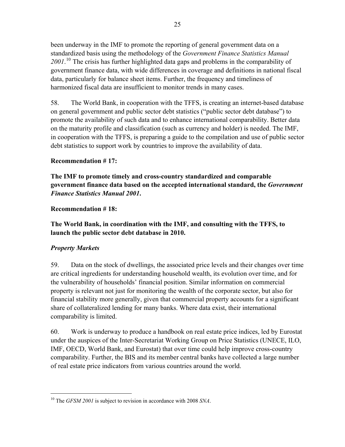been underway in the IMF to promote the reporting of general government data on a standardized basis using the methodology of the *Government Finance Statistics Manual 2001*. 10 The crisis has further highlighted data gaps and problems in the comparability of government finance data, with wide differences in coverage and definitions in national fiscal data, particularly for balance sheet items. Further, the frequency and timeliness of harmonized fiscal data are insufficient to monitor trends in many cases.

58. The World Bank, in cooperation with the TFFS, is creating an internet-based database on general government and public sector debt statistics ("public sector debt database") to promote the availability of such data and to enhance international comparability. Better data on the maturity profile and classification (such as currency and holder) is needed. The IMF, in cooperation with the TFFS, is preparing a guide to the compilation and use of public sector debt statistics to support work by countries to improve the availability of data.

# **Recommendation # 17:**

**The IMF to promote timely and cross-country standardized and comparable government finance data based on the accepted international standard, the** *Government Finance Statistics Manual 2001***.**

# **Recommendation # 18:**

**The World Bank, in coordination with the IMF, and consulting with the TFFS, to launch the public sector debt database in 2010.** 

# <span id="page-24-0"></span>*Property Markets*

 $\overline{a}$ 

59. Data on the stock of dwellings, the associated price levels and their changes over time are critical ingredients for understanding household wealth, its evolution over time, and for the vulnerability of households' financial position. Similar information on commercial property is relevant not just for monitoring the wealth of the corporate sector, but also for financial stability more generally, given that commercial property accounts for a significant share of collateralized lending for many banks. Where data exist, their international comparability is limited.

60. Work is underway to produce a handbook on real estate price indices, led by Eurostat under the auspices of the Inter-Secretariat Working Group on Price Statistics (UNECE, ILO, IMF, OECD, World Bank, and Eurostat) that over time could help improve cross-country comparability. Further, the BIS and its member central banks have collected a large number of real estate price indicators from various countries around the world.

<sup>10</sup> The *GFSM 2001* is subject to revision in accordance with 2008 *SNA*.